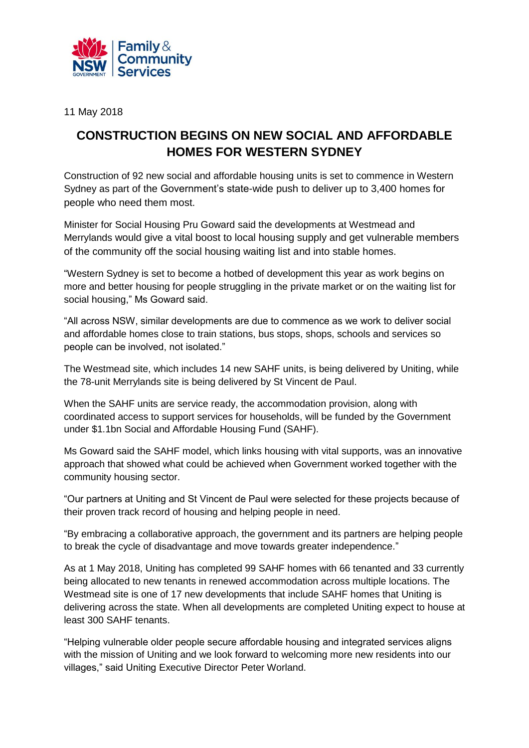

11 May 2018

## **CONSTRUCTION BEGINS ON NEW SOCIAL AND AFFORDABLE HOMES FOR WESTERN SYDNEY**

Construction of 92 new social and affordable housing units is set to commence in Western Sydney as part of the Government's state-wide push to deliver up to 3,400 homes for people who need them most.

Minister for Social Housing Pru Goward said the developments at Westmead and Merrylands would give a vital boost to local housing supply and get vulnerable members of the community off the social housing waiting list and into stable homes.

"Western Sydney is set to become a hotbed of development this year as work begins on more and better housing for people struggling in the private market or on the waiting list for social housing," Ms Goward said.

"All across NSW, similar developments are due to commence as we work to deliver social and affordable homes close to train stations, bus stops, shops, schools and services so people can be involved, not isolated."

The Westmead site, which includes 14 new SAHF units, is being delivered by Uniting, while the 78-unit Merrylands site is being delivered by St Vincent de Paul.

When the SAHF units are service ready, the accommodation provision, along with coordinated access to support services for households, will be funded by the Government under \$1.1bn Social and Affordable Housing Fund (SAHF).

Ms Goward said the SAHF model, which links housing with vital supports, was an innovative approach that showed what could be achieved when Government worked together with the community housing sector.

"Our partners at Uniting and St Vincent de Paul were selected for these projects because of their proven track record of housing and helping people in need.

"By embracing a collaborative approach, the government and its partners are helping people to break the cycle of disadvantage and move towards greater independence."

As at 1 May 2018, Uniting has completed 99 SAHF homes with 66 tenanted and 33 currently being allocated to new tenants in renewed accommodation across multiple locations. The Westmead site is one of 17 new developments that include SAHF homes that Uniting is delivering across the state. When all developments are completed Uniting expect to house at least 300 SAHF tenants.

"Helping vulnerable older people secure affordable housing and integrated services aligns with the mission of Uniting and we look forward to welcoming more new residents into our villages," said Uniting Executive Director Peter Worland.